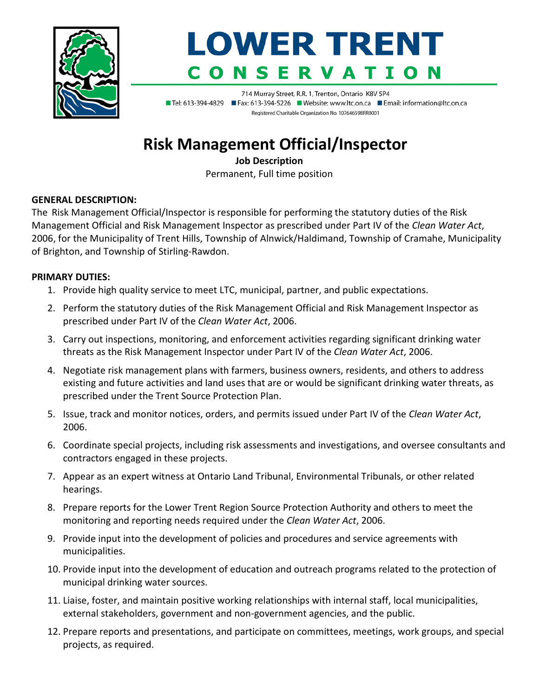

# **LOWER TRENT SERVATIO**

714 Murray Street, R.R. 1, Trenton, Ontario K8V 5P4 ■ Tel: 613-394-4829 ■ Fax: 613-394-5226 ■ Website: www.ltc.on.ca ■ Email: information@ltc.on.ca Registered Charitable Organization No. 107646598RR0001

# **Risk Management Official/Inspector**

**Job Description**

Permanent, Full time position

## **GENERAL DESCRIPTION:**

The Risk Management Official/Inspector is responsible for performing the statutory duties of the Risk Management Official and Risk Management Inspector as prescribed under Part IV of the *Clean Water Act*, 2006, for the Municipality of Trent Hills, Township of Alnwick/Haldimand, Township of Cramahe, Municipality of Brighton, and Township of Stirling-Rawdon.

## **PRIMARY DUTIES:**

- 1. Provide high quality service to meet LTC, municipal, partner, and public expectations.
- 2. Perform the statutory duties of the Risk Management Official and Risk Management Inspector as prescribed under Part IV of the *Clean Water Act*, 2006.
- 3. Carry out inspections, monitoring, and enforcement activities regarding significant drinking water threats as the Risk Management Inspector under Part IV of the *Clean Water Act*, 2006.
- 4. Negotiate risk management plans with farmers, business owners, residents, and others to address existing and future activities and land uses that are or would be significant drinking water threats, as prescribed under the Trent Source Protection Plan.
- 5. Issue, track and monitor notices, orders, and permits issued under Part IV of the *Clean Water Act*, 2006.
- 6. Coordinate special projects, including risk assessments and investigations, and oversee consultants and contractors engaged in these projects.
- 7. Appear as an expert witness at Ontario Land Tribunal, Environmental Tribunals, or other related hearings.
- 8. Prepare reports for the Lower Trent Region Source Protection Authority and others to meet the monitoring and reporting needs required under the *Clean Water Act*, 2006.
- 9. Provide input into the development of policies and procedures and service agreements with municipalities.
- 10. Provide input into the development of education and outreach programs related to the protection of municipal drinking water sources.
- 11. Liaise, foster, and maintain positive working relationships with internal staff, local municipalities, external stakeholders, government and non-government agencies, and the public.
- 12. Prepare reports and presentations, and participate on committees, meetings, work groups, and special projects, as required.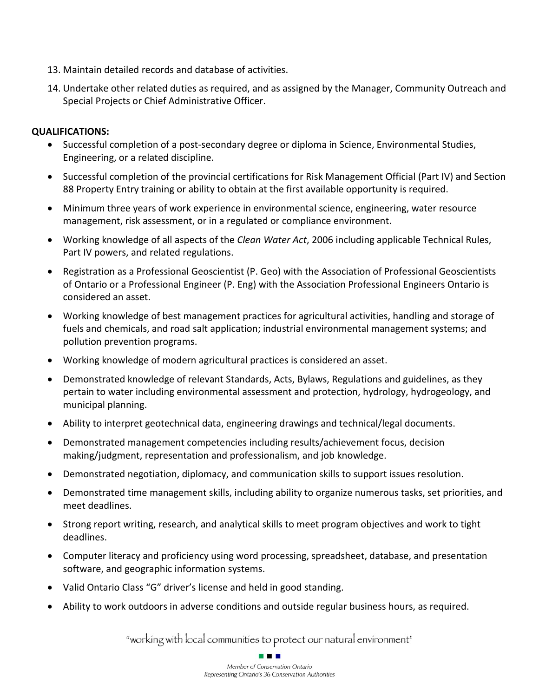- 13. Maintain detailed records and database of activities.
- 14. Undertake other related duties as required, and as assigned by the Manager, Community Outreach and Special Projects or Chief Administrative Officer.

#### **QUALIFICATIONS:**

- Successful completion of a post-secondary degree or diploma in Science, Environmental Studies, Engineering, or a related discipline.
- Successful completion of the provincial certifications for Risk Management Official (Part IV) and Section 88 Property Entry training or ability to obtain at the first available opportunity is required.
- Minimum three years of work experience in environmental science, engineering, water resource management, risk assessment, or in a regulated or compliance environment.
- Working knowledge of all aspects of the *Clean Water Act*, 2006 including applicable Technical Rules, Part IV powers, and related regulations.
- Registration as a Professional Geoscientist (P. Geo) with the Association of Professional Geoscientists of Ontario or a Professional Engineer (P. Eng) with the Association Professional Engineers Ontario is considered an asset.
- Working knowledge of best management practices for agricultural activities, handling and storage of fuels and chemicals, and road salt application; industrial environmental management systems; and pollution prevention programs.
- Working knowledge of modern agricultural practices is considered an asset.
- Demonstrated knowledge of relevant Standards, Acts, Bylaws, Regulations and guidelines, as they pertain to water including environmental assessment and protection, hydrology, hydrogeology, and municipal planning.
- Ability to interpret geotechnical data, engineering drawings and technical/legal documents.
- Demonstrated management competencies including results/achievement focus, decision making/judgment, representation and professionalism, and job knowledge.
- Demonstrated negotiation, diplomacy, and communication skills to support issues resolution.
- Demonstrated time management skills, including ability to organize numerous tasks, set priorities, and meet deadlines.
- Strong report writing, research, and analytical skills to meet program objectives and work to tight deadlines.
- Computer literacy and proficiency using word processing, spreadsheet, database, and presentation software, and geographic information systems.
- Valid Ontario Class "G" driver's license and held in good standing.
- Ability to work outdoors in adverse conditions and outside regular business hours, as required.

"working with local communities to protect our natural environment"